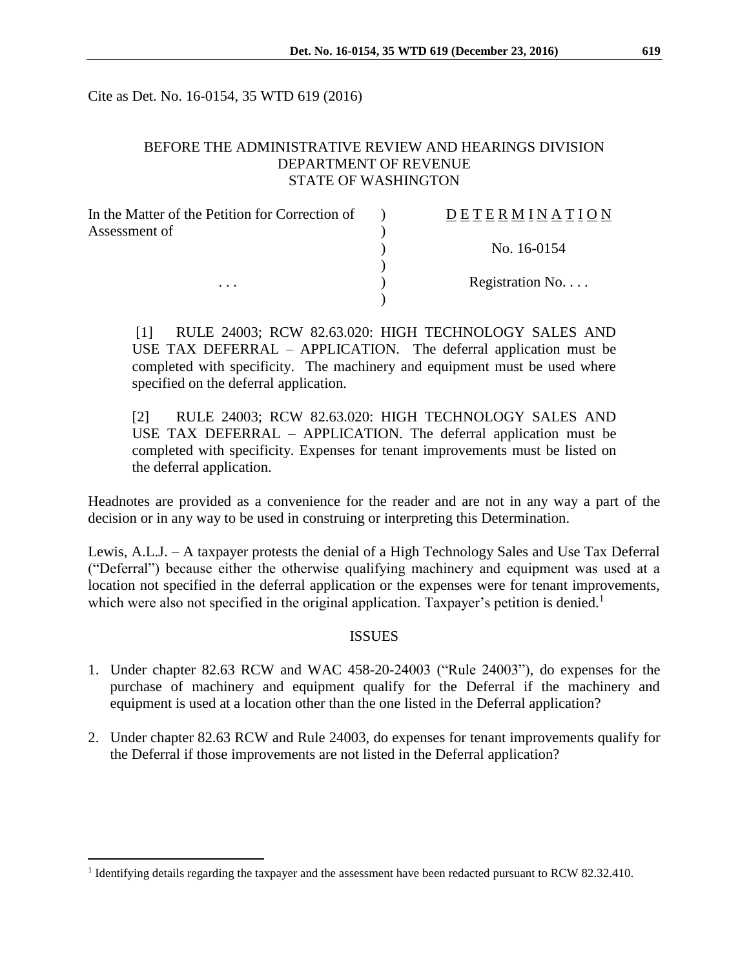Cite as Det. No. 16-0154, 35 WTD 619 (2016)

### BEFORE THE ADMINISTRATIVE REVIEW AND HEARINGS DIVISION DEPARTMENT OF REVENUE STATE OF WASHINGTON

| In the Matter of the Petition for Correction of | DETERMINATION   |
|-------------------------------------------------|-----------------|
| Assessment of                                   |                 |
|                                                 | No. 16-0154     |
|                                                 |                 |
| $\cdots$                                        | Registration No |
|                                                 |                 |

[1] RULE 24003; RCW 82.63.020: HIGH TECHNOLOGY SALES AND USE TAX DEFERRAL – APPLICATION. The deferral application must be completed with specificity. The machinery and equipment must be used where specified on the deferral application.

[2] RULE 24003; RCW 82.63.020: HIGH TECHNOLOGY SALES AND USE TAX DEFERRAL – APPLICATION. The deferral application must be completed with specificity. Expenses for tenant improvements must be listed on the deferral application.

Headnotes are provided as a convenience for the reader and are not in any way a part of the decision or in any way to be used in construing or interpreting this Determination.

Lewis, A.L.J. – A taxpayer protests the denial of a High Technology Sales and Use Tax Deferral ("Deferral") because either the otherwise qualifying machinery and equipment was used at a location not specified in the deferral application or the expenses were for tenant improvements, which were also not specified in the original application. Taxpayer's petition is denied.<sup>1</sup>

### **ISSUES**

- 1. Under chapter 82.63 RCW and WAC 458-20-24003 ("Rule 24003"), do expenses for the purchase of machinery and equipment qualify for the Deferral if the machinery and equipment is used at a location other than the one listed in the Deferral application?
- 2. Under chapter 82.63 RCW and Rule 24003, do expenses for tenant improvements qualify for the Deferral if those improvements are not listed in the Deferral application?

 $\overline{a}$ 

<sup>&</sup>lt;sup>1</sup> Identifying details regarding the taxpayer and the assessment have been redacted pursuant to RCW 82.32.410.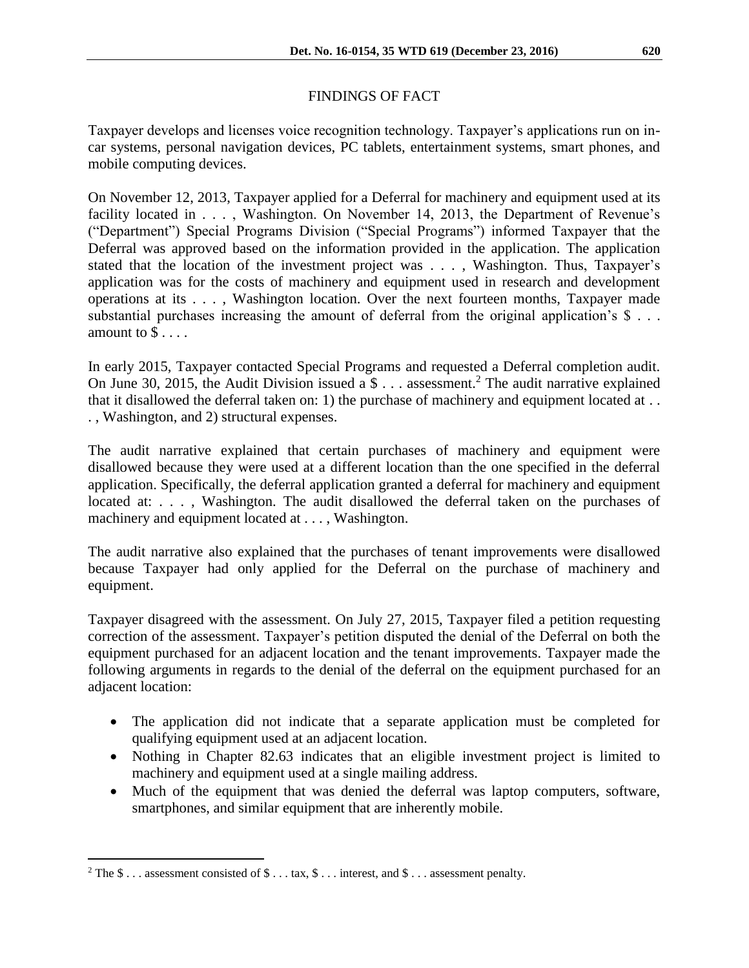# FINDINGS OF FACT

Taxpayer develops and licenses voice recognition technology. Taxpayer's applications run on incar systems, personal navigation devices, PC tablets, entertainment systems, smart phones, and mobile computing devices.

On November 12, 2013, Taxpayer applied for a Deferral for machinery and equipment used at its facility located in . . . , Washington. On November 14, 2013, the Department of Revenue's ("Department") Special Programs Division ("Special Programs") informed Taxpayer that the Deferral was approved based on the information provided in the application. The application stated that the location of the investment project was . . . , Washington. Thus, Taxpayer's application was for the costs of machinery and equipment used in research and development operations at its . . . , Washington location. Over the next fourteen months, Taxpayer made substantial purchases increasing the amount of deferral from the original application's \$ ... amount to  $\$\ldots$ .

In early 2015, Taxpayer contacted Special Programs and requested a Deferral completion audit. On June 30, 2015, the Audit Division issued a  $\$\ldots$  assessment.<sup>2</sup> The audit narrative explained that it disallowed the deferral taken on: 1) the purchase of machinery and equipment located at . . . , Washington, and 2) structural expenses.

The audit narrative explained that certain purchases of machinery and equipment were disallowed because they were used at a different location than the one specified in the deferral application. Specifically, the deferral application granted a deferral for machinery and equipment located at: . . . , Washington. The audit disallowed the deferral taken on the purchases of machinery and equipment located at . . . , Washington.

The audit narrative also explained that the purchases of tenant improvements were disallowed because Taxpayer had only applied for the Deferral on the purchase of machinery and equipment.

Taxpayer disagreed with the assessment. On July 27, 2015, Taxpayer filed a petition requesting correction of the assessment. Taxpayer's petition disputed the denial of the Deferral on both the equipment purchased for an adjacent location and the tenant improvements. Taxpayer made the following arguments in regards to the denial of the deferral on the equipment purchased for an adjacent location:

- The application did not indicate that a separate application must be completed for qualifying equipment used at an adjacent location.
- Nothing in Chapter 82.63 indicates that an eligible investment project is limited to machinery and equipment used at a single mailing address.
- Much of the equipment that was denied the deferral was laptop computers, software, smartphones, and similar equipment that are inherently mobile.

 $\overline{a}$ 

<sup>&</sup>lt;sup>2</sup> The \$ . . . assessment consisted of \$ . . . tax, \$ . . . interest, and \$ . . . assessment penalty.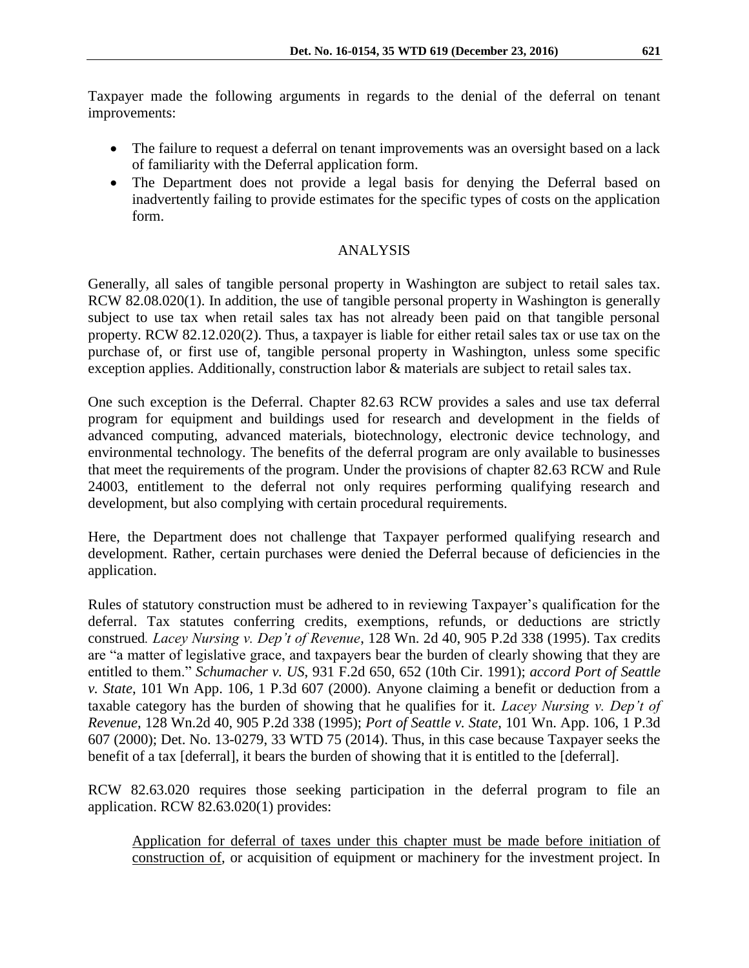Taxpayer made the following arguments in regards to the denial of the deferral on tenant improvements:

- The failure to request a deferral on tenant improvements was an oversight based on a lack of familiarity with the Deferral application form.
- The Department does not provide a legal basis for denying the Deferral based on inadvertently failing to provide estimates for the specific types of costs on the application form.

## ANALYSIS

Generally, all sales of tangible personal property in Washington are subject to retail sales tax. RCW 82.08.020(1). In addition, the use of tangible personal property in Washington is generally subject to use tax when retail sales tax has not already been paid on that tangible personal property. RCW 82.12.020(2). Thus, a taxpayer is liable for either retail sales tax or use tax on the purchase of, or first use of, tangible personal property in Washington, unless some specific exception applies. Additionally, construction labor & materials are subject to retail sales tax.

One such exception is the Deferral. Chapter 82.63 RCW provides a sales and use tax deferral program for equipment and buildings used for research and development in the fields of advanced computing, advanced materials, biotechnology, electronic device technology, and environmental technology. The benefits of the deferral program are only available to businesses that meet the requirements of the program. Under the provisions of chapter 82.63 RCW and Rule 24003, entitlement to the deferral not only requires performing qualifying research and development, but also complying with certain procedural requirements.

Here, the Department does not challenge that Taxpayer performed qualifying research and development. Rather, certain purchases were denied the Deferral because of deficiencies in the application.

Rules of statutory construction must be adhered to in reviewing Taxpayer's qualification for the deferral. Tax statutes conferring credits, exemptions, refunds, or deductions are strictly construed*. Lacey Nursing v. Dep't of Revenue*, 128 Wn. 2d 40, 905 P.2d 338 (1995). Tax credits are "a matter of legislative grace, and taxpayers bear the burden of clearly showing that they are entitled to them." *Schumacher v. US*, 931 F.2d 650, 652 (10th Cir. 1991); *accord Port of Seattle v. State*, 101 Wn App. 106, 1 P.3d 607 (2000). Anyone claiming a benefit or deduction from a taxable category has the burden of showing that he qualifies for it. *Lacey Nursing v. Dep't of Revenue*, 128 Wn.2d 40, 905 P.2d 338 (1995); *Port of Seattle v. State*, 101 Wn. App. 106, 1 P.3d 607 (2000); Det. No. 13-0279, 33 WTD 75 (2014). Thus, in this case because Taxpayer seeks the benefit of a tax [deferral], it bears the burden of showing that it is entitled to the [deferral].

RCW 82.63.020 requires those seeking participation in the deferral program to file an application. RCW 82.63.020(1) provides:

Application for deferral of taxes under this chapter must be made before initiation of construction of, or acquisition of equipment or machinery for the investment project. In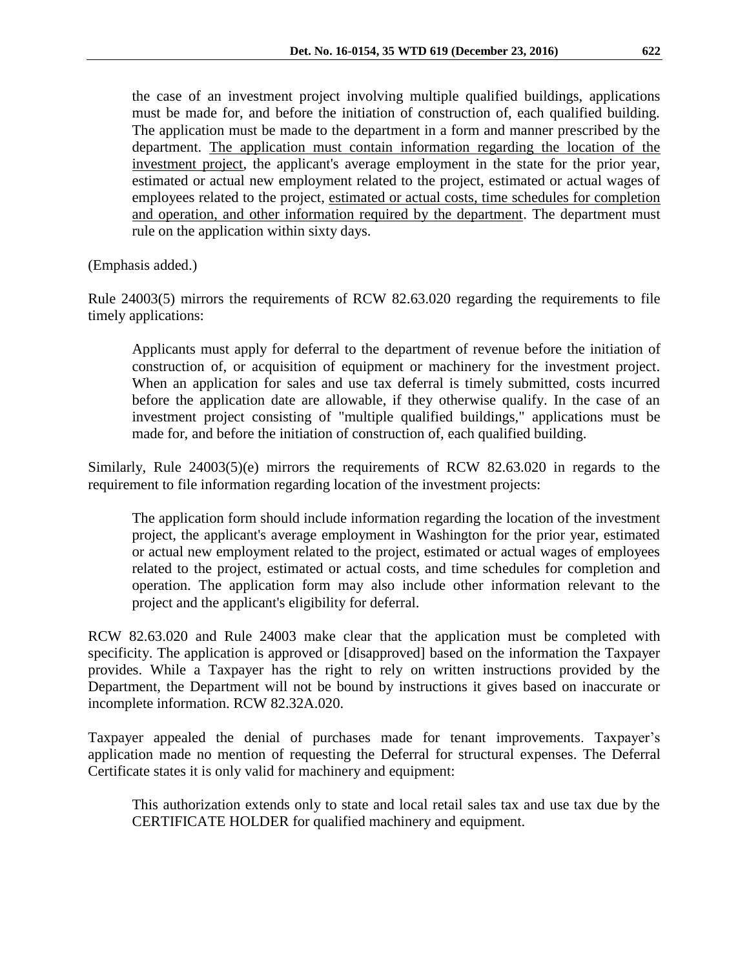the case of an investment project involving multiple qualified buildings, applications must be made for, and before the initiation of construction of, each qualified building. The application must be made to the department in a form and manner prescribed by the department. The application must contain information regarding the location of the investment project, the applicant's average employment in the state for the prior year, estimated or actual new employment related to the project, estimated or actual wages of employees related to the project, estimated or actual costs, time schedules for completion and operation, and other information required by the department. The department must rule on the application within sixty days.

(Emphasis added.)

Rule 24003(5) mirrors the requirements of RCW 82.63.020 regarding the requirements to file timely applications:

Applicants must apply for deferral to the department of revenue before the initiation of construction of, or acquisition of equipment or machinery for the investment project. When an application for sales and use tax deferral is timely submitted, costs incurred before the application date are allowable, if they otherwise qualify. In the case of an investment project consisting of "multiple qualified buildings," applications must be made for, and before the initiation of construction of, each qualified building.

Similarly, Rule 24003(5)(e) mirrors the requirements of RCW 82.63.020 in regards to the requirement to file information regarding location of the investment projects:

The application form should include information regarding the location of the investment project, the applicant's average employment in Washington for the prior year, estimated or actual new employment related to the project, estimated or actual wages of employees related to the project, estimated or actual costs, and time schedules for completion and operation. The application form may also include other information relevant to the project and the applicant's eligibility for deferral.

RCW 82.63.020 and Rule 24003 make clear that the application must be completed with specificity. The application is approved or [disapproved] based on the information the Taxpayer provides. While a Taxpayer has the right to rely on written instructions provided by the Department, the Department will not be bound by instructions it gives based on inaccurate or incomplete information. RCW 82.32A.020.

Taxpayer appealed the denial of purchases made for tenant improvements. Taxpayer's application made no mention of requesting the Deferral for structural expenses. The Deferral Certificate states it is only valid for machinery and equipment:

This authorization extends only to state and local retail sales tax and use tax due by the CERTIFICATE HOLDER for qualified machinery and equipment.